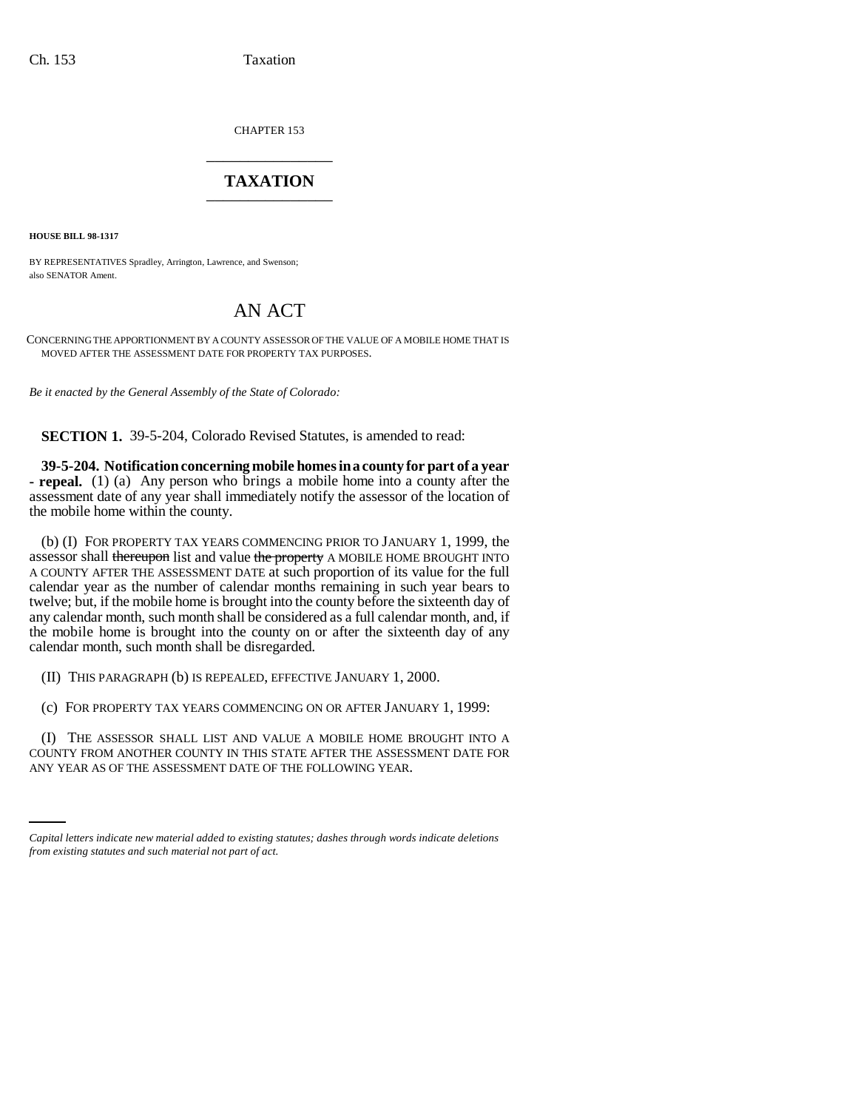CHAPTER 153 \_\_\_\_\_\_\_\_\_\_\_\_\_\_\_

## **TAXATION** \_\_\_\_\_\_\_\_\_\_\_\_\_\_\_

**HOUSE BILL 98-1317**

BY REPRESENTATIVES Spradley, Arrington, Lawrence, and Swenson; also SENATOR Ament.

# AN ACT

CONCERNING THE APPORTIONMENT BY A COUNTY ASSESSOR OF THE VALUE OF A MOBILE HOME THAT IS MOVED AFTER THE ASSESSMENT DATE FOR PROPERTY TAX PURPOSES.

*Be it enacted by the General Assembly of the State of Colorado:*

**SECTION 1.** 39-5-204, Colorado Revised Statutes, is amended to read:

**39-5-204. Notification concerning mobile homes in a county for part of a year - repeal.** (1) (a) Any person who brings a mobile home into a county after the assessment date of any year shall immediately notify the assessor of the location of the mobile home within the county.

(b) (I) FOR PROPERTY TAX YEARS COMMENCING PRIOR TO JANUARY 1, 1999, the assessor shall thereupon list and value the property A MOBILE HOME BROUGHT INTO A COUNTY AFTER THE ASSESSMENT DATE at such proportion of its value for the full calendar year as the number of calendar months remaining in such year bears to twelve; but, if the mobile home is brought into the county before the sixteenth day of any calendar month, such month shall be considered as a full calendar month, and, if the mobile home is brought into the county on or after the sixteenth day of any calendar month, such month shall be disregarded.

(II) THIS PARAGRAPH (b) IS REPEALED, EFFECTIVE JANUARY 1, 2000.

(c) FOR PROPERTY TAX YEARS COMMENCING ON OR AFTER JANUARY 1, 1999:

COUNTY FROM ANOTHER COUNTY IN THIS STATE AFTER THE ASSESSMENT DATE FOR (I) THE ASSESSOR SHALL LIST AND VALUE A MOBILE HOME BROUGHT INTO A ANY YEAR AS OF THE ASSESSMENT DATE OF THE FOLLOWING YEAR.

*Capital letters indicate new material added to existing statutes; dashes through words indicate deletions from existing statutes and such material not part of act.*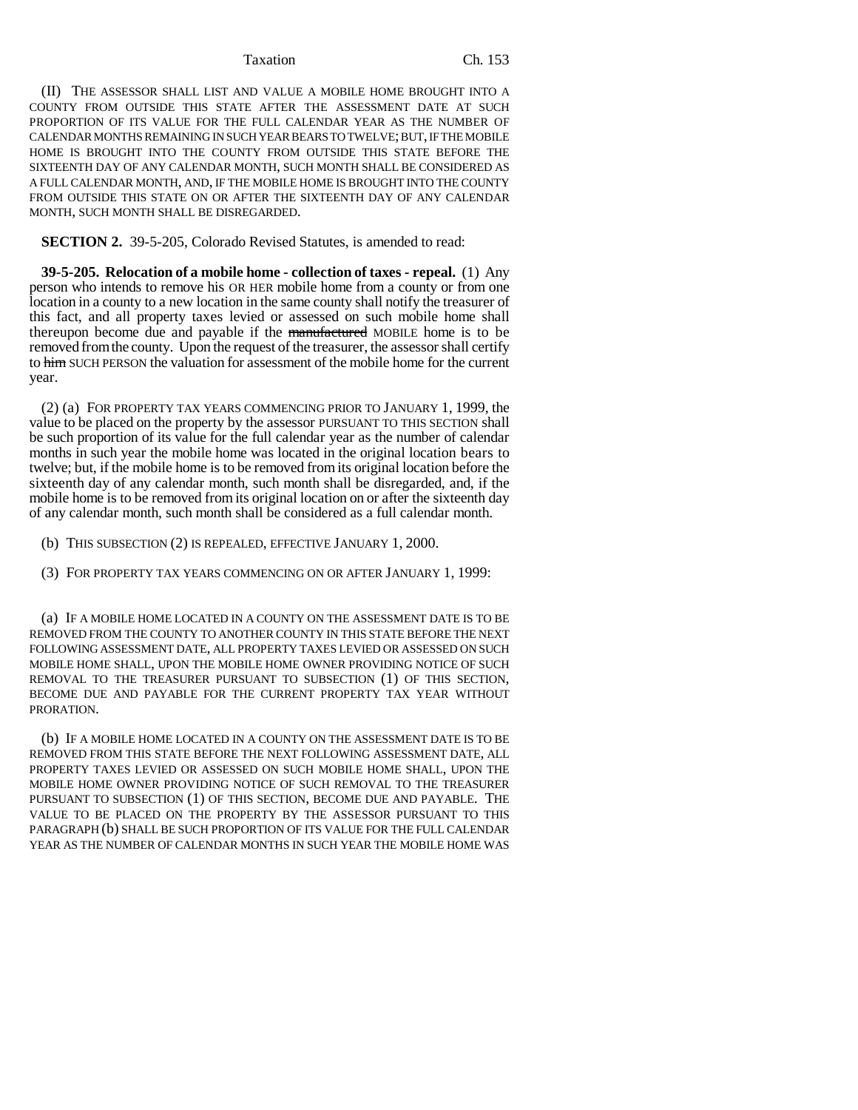#### Taxation Ch. 153

(II) THE ASSESSOR SHALL LIST AND VALUE A MOBILE HOME BROUGHT INTO A COUNTY FROM OUTSIDE THIS STATE AFTER THE ASSESSMENT DATE AT SUCH PROPORTION OF ITS VALUE FOR THE FULL CALENDAR YEAR AS THE NUMBER OF CALENDAR MONTHS REMAINING IN SUCH YEAR BEARS TO TWELVE; BUT, IF THE MOBILE HOME IS BROUGHT INTO THE COUNTY FROM OUTSIDE THIS STATE BEFORE THE SIXTEENTH DAY OF ANY CALENDAR MONTH, SUCH MONTH SHALL BE CONSIDERED AS A FULL CALENDAR MONTH, AND, IF THE MOBILE HOME IS BROUGHT INTO THE COUNTY FROM OUTSIDE THIS STATE ON OR AFTER THE SIXTEENTH DAY OF ANY CALENDAR MONTH, SUCH MONTH SHALL BE DISREGARDED.

**SECTION 2.** 39-5-205, Colorado Revised Statutes, is amended to read:

**39-5-205. Relocation of a mobile home - collection of taxes - repeal.** (1) Any person who intends to remove his OR HER mobile home from a county or from one location in a county to a new location in the same county shall notify the treasurer of this fact, and all property taxes levied or assessed on such mobile home shall thereupon become due and payable if the manufactured MOBILE home is to be removed from the county. Upon the request of the treasurer, the assessor shall certify to him SUCH PERSON the valuation for assessment of the mobile home for the current year.

(2) (a) FOR PROPERTY TAX YEARS COMMENCING PRIOR TO JANUARY 1, 1999, the value to be placed on the property by the assessor PURSUANT TO THIS SECTION shall be such proportion of its value for the full calendar year as the number of calendar months in such year the mobile home was located in the original location bears to twelve; but, if the mobile home is to be removed from its original location before the sixteenth day of any calendar month, such month shall be disregarded, and, if the mobile home is to be removed from its original location on or after the sixteenth day of any calendar month, such month shall be considered as a full calendar month.

(b) THIS SUBSECTION (2) IS REPEALED, EFFECTIVE JANUARY 1, 2000.

(3) FOR PROPERTY TAX YEARS COMMENCING ON OR AFTER JANUARY 1, 1999:

(a) IF A MOBILE HOME LOCATED IN A COUNTY ON THE ASSESSMENT DATE IS TO BE REMOVED FROM THE COUNTY TO ANOTHER COUNTY IN THIS STATE BEFORE THE NEXT FOLLOWING ASSESSMENT DATE, ALL PROPERTY TAXES LEVIED OR ASSESSED ON SUCH MOBILE HOME SHALL, UPON THE MOBILE HOME OWNER PROVIDING NOTICE OF SUCH REMOVAL TO THE TREASURER PURSUANT TO SUBSECTION (1) OF THIS SECTION, BECOME DUE AND PAYABLE FOR THE CURRENT PROPERTY TAX YEAR WITHOUT PRORATION.

(b) IF A MOBILE HOME LOCATED IN A COUNTY ON THE ASSESSMENT DATE IS TO BE REMOVED FROM THIS STATE BEFORE THE NEXT FOLLOWING ASSESSMENT DATE, ALL PROPERTY TAXES LEVIED OR ASSESSED ON SUCH MOBILE HOME SHALL, UPON THE MOBILE HOME OWNER PROVIDING NOTICE OF SUCH REMOVAL TO THE TREASURER PURSUANT TO SUBSECTION (1) OF THIS SECTION, BECOME DUE AND PAYABLE. THE VALUE TO BE PLACED ON THE PROPERTY BY THE ASSESSOR PURSUANT TO THIS PARAGRAPH (b) SHALL BE SUCH PROPORTION OF ITS VALUE FOR THE FULL CALENDAR YEAR AS THE NUMBER OF CALENDAR MONTHS IN SUCH YEAR THE MOBILE HOME WAS